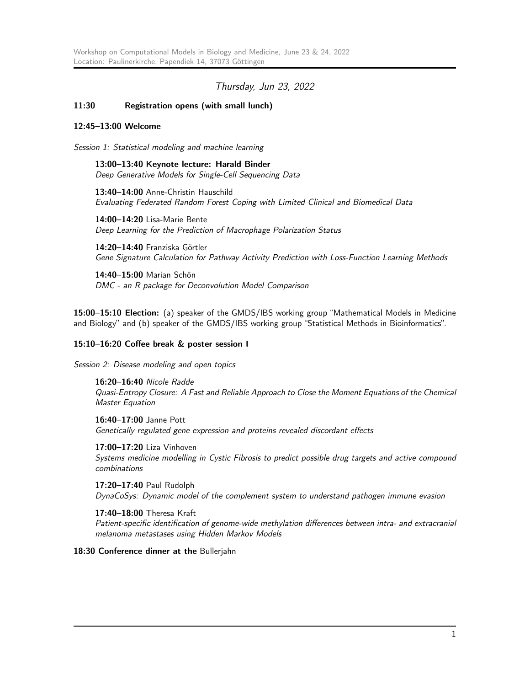# Thursday, Jun 23, 2022

## 11:30 Registration opens (with small lunch)

#### 12:45–13:00 Welcome

Session 1: Statistical modeling and machine learning

13:00–13:40 Keynote lecture: Harald Binder Deep Generative Models for Single-Cell Sequencing Data

13:40–14:00 Anne-Christin Hauschild Evaluating Federated Random Forest Coping with Limited Clinical and Biomedical Data

14:00–14:20 Lisa-Marie Bente Deep Learning for the Prediction of Macrophage Polarization Status

14:20–14:40 Franziska Görtler Gene Signature Calculation for Pathway Activity Prediction with Loss-Function Learning Methods

14:40–15:00 Marian Schön DMC - an R package for Deconvolution Model Comparison

15:00–15:10 Election: (a) speaker of the GMDS/IBS working group "Mathematical Models in Medicine and Biology" and (b) speaker of the GMDS/IBS working group "Statistical Methods in Bioinformatics".

## 15:10–16:20 Coffee break & poster session I

Session 2: Disease modeling and open topics

16:20–16:40 Nicole Radde Quasi-Entropy Closure: A Fast and Reliable Approach to Close the Moment Equations of the Chemical Master Equation

16:40–17:00 Janne Pott Genetically regulated gene expression and proteins revealed discordant effects

17:00–17:20 Liza Vinhoven Systems medicine modelling in Cystic Fibrosis to predict possible drug targets and active compound combinations

17:20–17:40 Paul Rudolph DynaCoSys: Dynamic model of the complement system to understand pathogen immune evasion

17:40–18:00 Theresa Kraft Patient-specific identification of genome-wide methylation differences between intra- and extracranial melanoma metastases using Hidden Markov Models

18:30 Conference dinner at the Bullerjahn